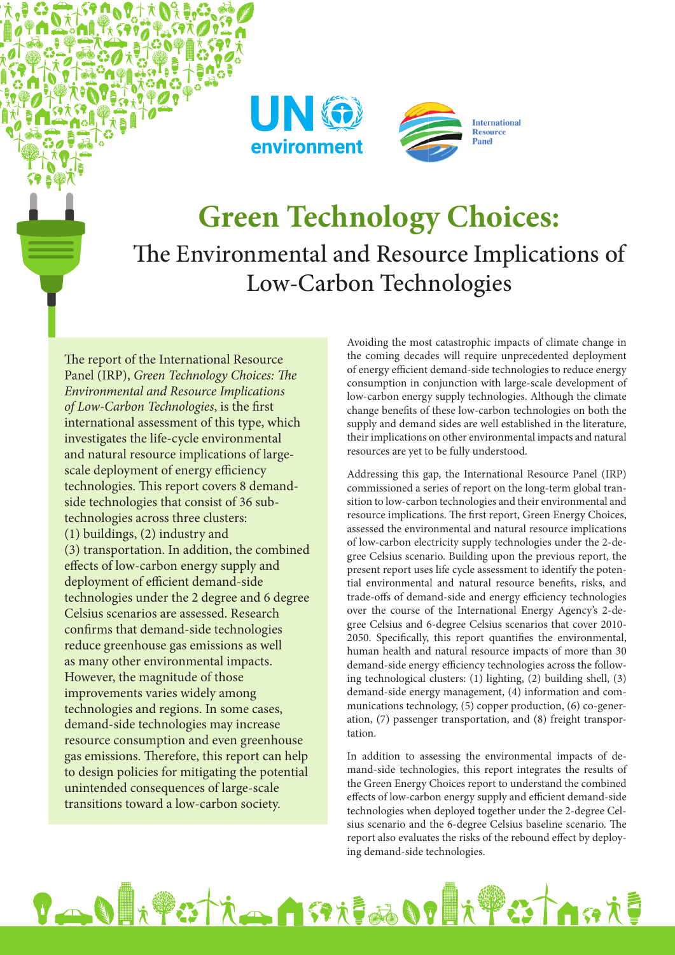



## **Green Technology Choices:** The Environmental and Resource Implications of Low-Carbon Technologies

The report of the International Resource Panel (IRP), *Green Technology Choices: The Environmental and Resource Implications of Low-Carbon Technologies*, is the first international assessment of this type, which investigates the life-cycle environmental and natural resource implications of largescale deployment of energy efficiency technologies. This report covers 8 demandside technologies that consist of 36 subtechnologies across three clusters: (1) buildings, (2) industry and (3) transportation. In addition, the combined effects of low-carbon energy supply and deployment of efficient demand-side technologies under the 2 degree and 6 degree Celsius scenarios are assessed. Research confirms that demand-side technologies reduce greenhouse gas emissions as well as many other environmental impacts. However, the magnitude of those improvements varies widely among technologies and regions. In some cases, demand-side technologies may increase resource consumption and even greenhouse gas emissions. Therefore, this report can help to design policies for mitigating the potential unintended consequences of large-scale transitions toward a low-carbon society.

Ő.

Avoiding the most catastrophic impacts of climate change in the coming decades will require unprecedented deployment of energy efficient demand-side technologies to reduce energy consumption in conjunction with large-scale development of low-carbon energy supply technologies. Although the climate change benefits of these low-carbon technologies on both the supply and demand sides are well established in the literature, their implications on other environmental impacts and natural resources are yet to be fully understood.

Addressing this gap, the International Resource Panel (IRP) commissioned a series of report on the long-term global transition to low-carbon technologies and their environmental and resource implications. The first report, Green Energy Choices, assessed the environmental and natural resource implications of low-carbon electricity supply technologies under the 2-degree Celsius scenario. Building upon the previous report, the present report uses life cycle assessment to identify the potential environmental and natural resource benefits, risks, and trade-offs of demand-side and energy efficiency technologies over the course of the International Energy Agency's 2-degree Celsius and 6-degree Celsius scenarios that cover 2010- 2050. Specifically, this report quantifies the environmental, human health and natural resource impacts of more than 30 demand-side energy efficiency technologies across the following technological clusters: (1) lighting, (2) building shell, (3) demand-side energy management, (4) information and communications technology, (5) copper production, (6) co-generation, (7) passenger transportation, and (8) freight transportation.

In addition to assessing the environmental impacts of demand-side technologies, this report integrates the results of the Green Energy Choices report to understand the combined effects of low-carbon energy supply and efficient demand-side technologies when deployed together under the 2-degree Celsius scenario and the 6-degree Celsius baseline scenario. The report also evaluates the risks of the rebound effect by deploying demand-side technologies.